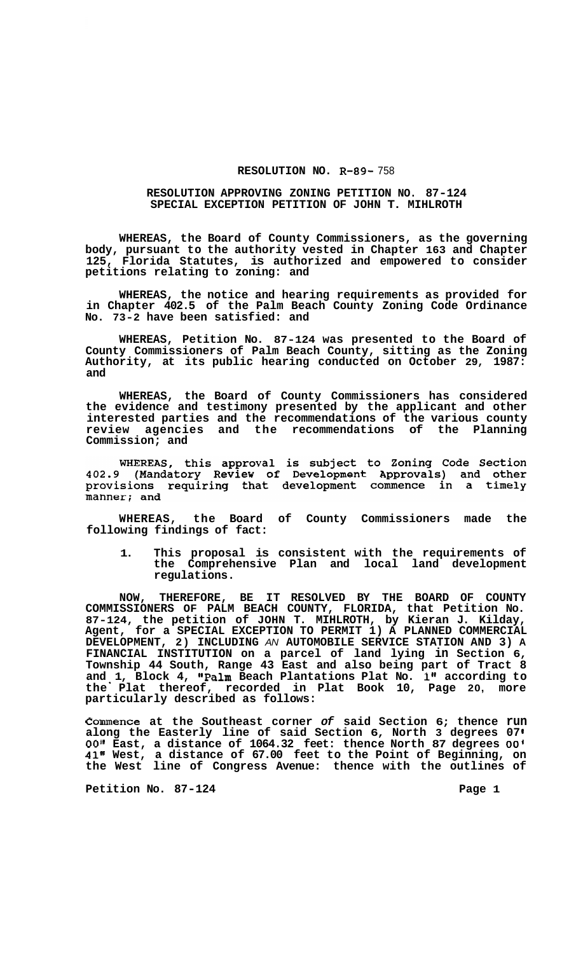## **RESOLUTION NO. R-89-** 758

## **RESOLUTION APPROVING ZONING PETITION NO. 87-124 SPECIAL EXCEPTION PETITION OF JOHN T. MIHLROTH**

**WHEREAS, the Board of County Commissioners, as the governing body, pursuant to the authority vested in Chapter 163 and Chapter 125, Florida Statutes, is authorized and empowered to consider petitions relating to zoning: and** 

**WHEREAS, the notice and hearing requirements as provided for in Chapter 402.5 of the Palm Beach County Zoning Code Ordinance No. 73-2 have been satisfied: and** 

**WHEREAS, Petition No. 87-124 was presented to the Board of County Commissioners of Palm Beach County, sitting as the Zoning Authority, at its public hearing conducted on October 29, 1987: and** 

**WHEREAS, the Board of County Commissioners has considered the evidence and testimony presented by the applicant and other interested parties and the recommendations of the various county review agencies and the recommendations of the Planning Commission; and** 

WHEREAS, this approval is subject to Zoning Code Section<br>402.9 (Mandatory Review of Development Approvals) and other provisions requiring that development commence in a timely manner; and

**WHEREAS, the Board of County Commissioners made the following findings of fact:** 

**1. This proposal is consistent with the requirements of the Comprehensive Plan and local land development regulations.** 

**NOW, THEREFORE, BE IT RESOLVED BY THE BOARD OF COUNTY COMMISSIONERS OF PALM BEACH COUNTY, FLORIDA, that Petition No. 87-124, the petition of JOHN T. MIHLROTH, by Kieran J. Kilday, Agent, for a SPECIAL EXCEPTION TO PERMIT 1) A PLANNED COMMERCIAL DEVELOPMENT, 2) INCLUDING** *AN* **AUTOMOBILE SERVICE STATION AND 3) A FINANCIAL INSTITUTION on a parcel of land lying in Section 6, Township 44 South, Range 43 East and also being part of Tract 8 and 1, Block 4, IIPalm Beach Plantations Plat No. 1" according to the** ' **Plat thereof, recorded in Plat Book 10, Page 20, more particularly described as follows:** 

**Commence at the Southeast corner** *of* **said Section 6; thence run along the Easterly line of said Section 6, North 3 degrees 07**  *00"* **East, a distance of 1064.32 feet: thence North 87 degrees** *00'*  **41" West, a distance of 67.00 feet to the Point of Beginning, on the West line of Congress Avenue: thence with the outlines of** 

Petition No. 87-124 **Page 1 Page 1**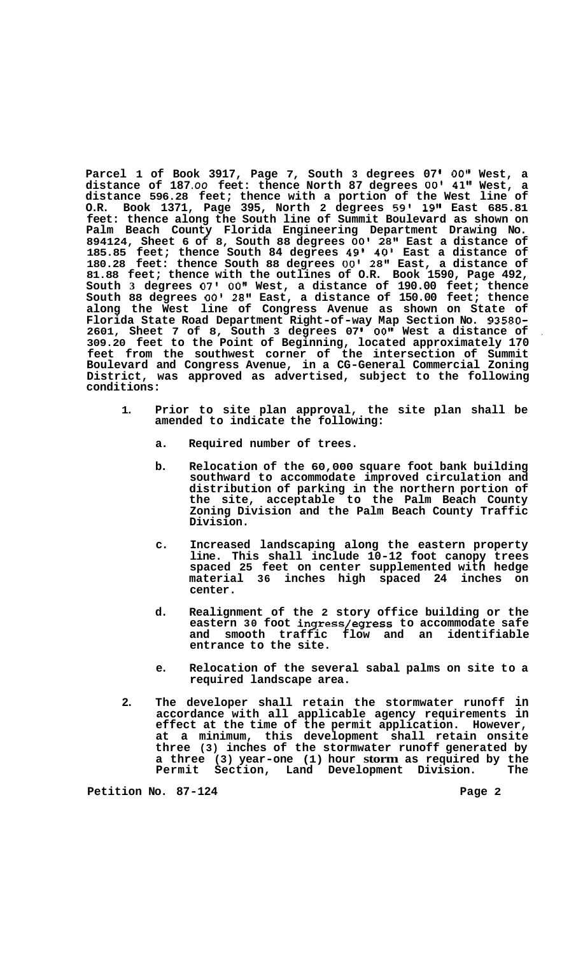Parcel 1 of Book 3917, Page 7, South 3 degrees 07' 00" West, a **distance of 187** *.OO* **feet: thence North 87 degrees** *00'* **41'' West, a distance 596.28 feet; thence with a portion of the West line of O.R. Book 1371, Page 395, North 2 degrees 59' 19" East 685.81 feet: thence along the South line of Summit Boulevard as shown on Palm Beach County Florida Engineering Department Drawing No. 894124, Sheet 6 of 8, South 88 degrees** *00'* **28" East a distance of 185.85 feet; thence South 84 degrees 49' 40' East a distance of 180.28 feet: thence South 88 degrees** *00'* **28" East, a distance of 81.88 feet; thence with the outlines of O.R. Book 1590, Page 492, South 3 degrees 07' 0O1' West, a distance of 190.00 feet; thence South 88 degrees** *00'* **28" East, a distance of 150.00 feet; thence along the West line of Congress Avenue as shown on State of Florida State Road Department Right-of-way Map Section No. 93580- 2601, Sheet 7 of 8, South 3 degrees 07 OO'I West a distance of** , **309.20 feet to the Point of Beginning, located approximately 170 feet from the southwest corner of the intersection of Summit Boulevard and Congress Avenue, in a CG-General Commercial Zoning District, was approved as advertised, subject to the following conditions:** 

- **1. Prior to site plan approval, the site plan shall be amended to indicate the following:** 
	- **a. Required number of trees.**
	- **b. Relocation of the 60,000 square foot bank building southward to accommodate improved circulation and distribution of parking in the northern portion of the site, acceptable to the Palm Beach County Zoning Division and the Palm Beach County Traffic Division.**
	- **c. Increased landscaping along the eastern property line. This shall include 10-12 foot canopy trees spaced 25 feet on center supplemented with hedge material 36 inches high spaced 24 inches on center.**
	- **d. Realignment of the 2 story office building or the eastern 30 foot ingress/egress to accommodate safe and smooth traffic flow and an identifiable entrance to the site.**
	- **e. Relocation of the several sabal palms on site to a required landscape area.**
- **2. The developer shall retain the stormwater runoff in accordance with all applicable agency requirements in effect at the time of the permit application. However, at a minimum, this development shall retain onsite three (3) inches of the stormwater runoff generated by a three (3) year-one (1) hour storm as required by the**  Permit Section, Land Development Division.

Petition No. 87-124 **Page 2 Page 2**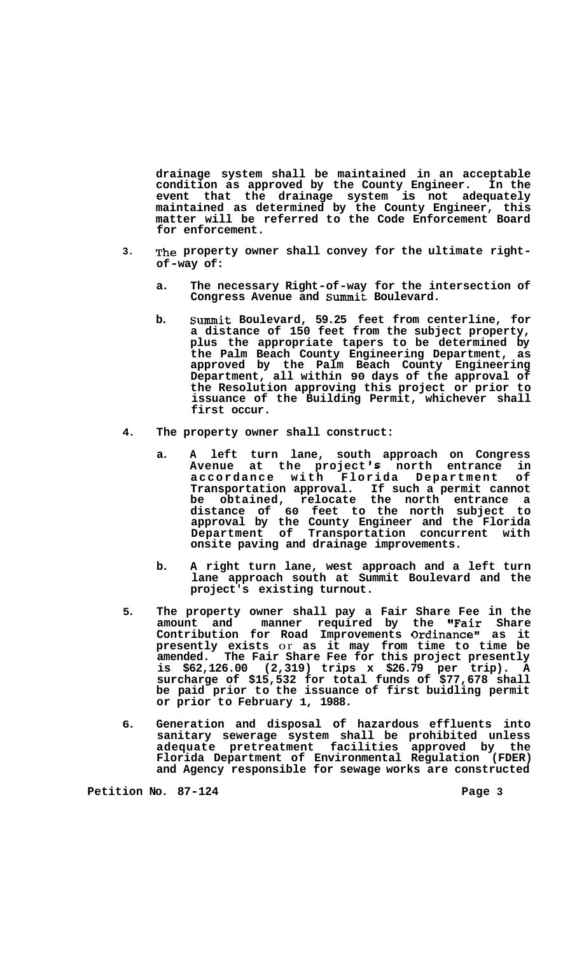**drainage system shall be maintained in an acceptable condition as approved by the County Engineer. In the event that the drainage system is not adequately maintained as determined by the County Engineer, this matter will be referred to the Code Enforcement Board for enforcement.** 

- **3. The property owner shall convey for the ultimate rightof -way of:** 
	- **a. The necessary Right-of-way for the intersection of Congress Avenue and Summit Boulevard.**
	- **b. Summit Boulevard, 59.25 feet from centerline, for a distance of 150 feet from the subject property, plus the appropriate tapers to be determined by the Palm Beach County Engineering Department, as approved by the Palm Beach County Engineering Department, all within 90 days of the approval of the Resolution approving this project or prior to issuance of the Building Permit, whichever shall first occur.**
- **4. The property owner shall construct:** 
	- **a. A left turn lane, south approach on Congress Avenue at the project 's north entrance in accordance with Florida Department of Transportation approval. If such a permit cannot be obtained, relocate the north entrance a distance of 60 feet to the north subject to approval by the County Engineer and the Florida Department of Transportation concurrent with onsite paving and drainage improvements.**
	- **b. A right turn lane, west approach and a left turn lane approach south at Summit Boulevard and the project's existing turnout.**
- **5. The property owner shall pay a Fair Share Fee in the**  amount and manner required by the **"Fair** Share **Contribution for Road Improvements Ordinance" as it presently exists** or **as it may from time to time be amended. The Fair Share Fee for this project presently is \$62,126.00 (2,319) trips x \$26.79 per trip). A surcharge of \$15,532 for total funds of \$77,678 shall be paid prior to the issuance of first buidling permit or prior to February 1, 1988.**
- **6. Generation and disposal of hazardous effluents into sanitary sewerage system shall be prohibited unless adequate pretreatment facilities approved by the Florida Department of Environmental Regulation (FDER) and Agency responsible for sewage works are constructed**

**Petition No. 87-124** Page 3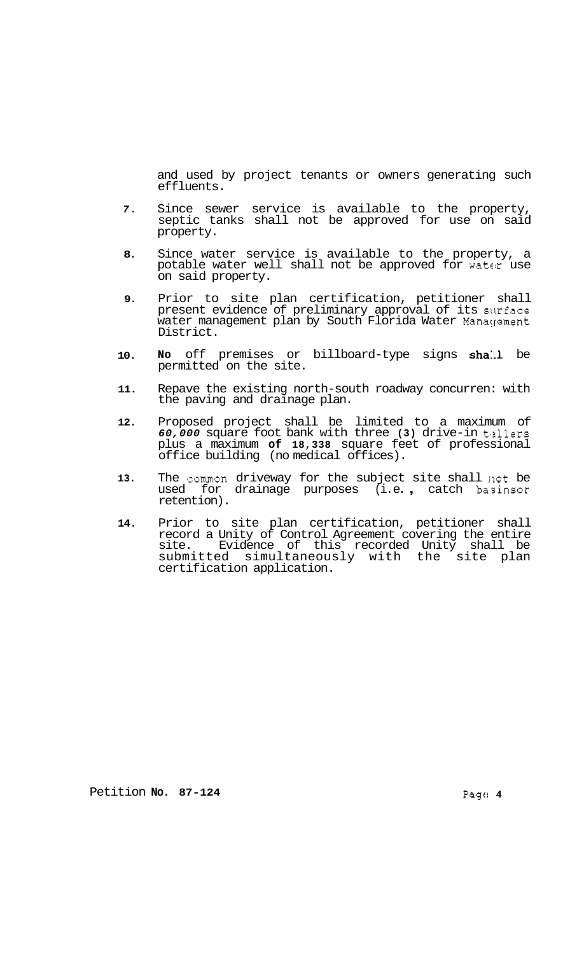and used by project tenants or owners generating such effluents.

- *7.*  Since sewer service is available to the property, septic tanks shall not be approved for use on said property.
- **8.**  Since water service is available to the property, a potable water well shall not be approved for water use on said property.
- **9.**  Prior to site plan certification, petitioner shall present evidence of preliminary approval of its surface water management plan by South Florida Water Management District.
- **10.**  No off premises or billboard-type signs shall be permitted on the site.
- **11.**  Repave the existing north-south roadway concurren: with the paving and drainage plan.
- **12.**  Proposed project shall be limited to a maximum of *60,000* square foot bank with three **(3)** drive-in t'zllers plus a maximum **of 18,338** square feet of professional office building (no medical offices).
- **13.**  The common driveway for the subject site shall not be used for drainage purposes (i.e., catch basinsor retention).
- **14.**  Prior to site plan certification, petitioner shall record a Unity of Control Agreement covering the entire site. Evidence of this recorded Unity shall be submitted simultaneously with the site plan certification application.